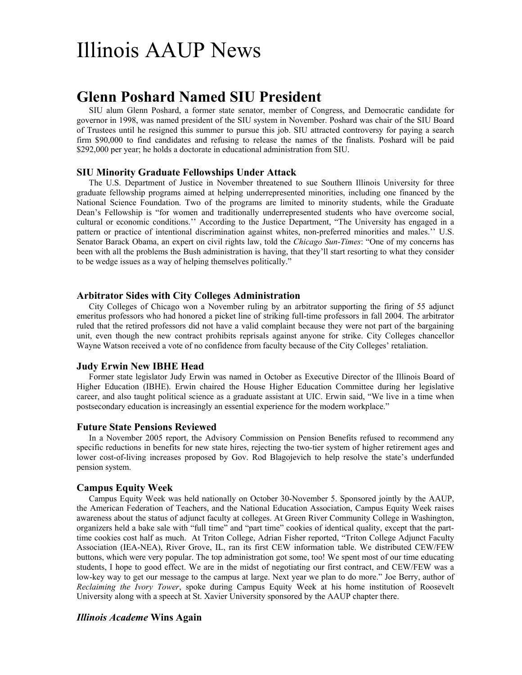# Illinois AAUP News

## **Glenn Poshard Named SIU President**

SIU alum Glenn Poshard, a former state senator, member of Congress, and Democratic candidate for governor in 1998, was named president of the SIU system in November. Poshard was chair of the SIU Board of Trustees until he resigned this summer to pursue this job. SIU attracted controversy for paying a search firm \$90,000 to find candidates and refusing to release the names of the finalists. Poshard will be paid \$292,000 per year; he holds a doctorate in educational administration from SIU.

#### **SIU Minority Graduate Fellowships Under Attack**

The U.S. Department of Justice in November threatened to sue Southern Illinois University for three graduate fellowship programs aimed at helping underrepresented minorities, including one financed by the National Science Foundation. Two of the programs are limited to minority students, while the Graduate Dean's Fellowship is "for women and traditionally underrepresented students who have overcome social, cultural or economic conditions.'' According to the Justice Department, "The University has engaged in a pattern or practice of intentional discrimination against whites, non-preferred minorities and males.'' U.S. Senator Barack Obama, an expert on civil rights law, told the *Chicago Sun-Times*: "One of my concerns has been with all the problems the Bush administration is having, that they'll start resorting to what they consider to be wedge issues as a way of helping themselves politically."

#### **Arbitrator Sides with City Colleges Administration**

City Colleges of Chicago won a November ruling by an arbitrator supporting the firing of 55 adjunct emeritus professors who had honored a picket line of striking full-time professors in fall 2004. The arbitrator ruled that the retired professors did not have a valid complaint because they were not part of the bargaining unit, even though the new contract prohibits reprisals against anyone for strike. City Colleges chancellor Wayne Watson received a vote of no confidence from faculty because of the City Colleges' retaliation.

#### **Judy Erwin New IBHE Head**

Former state legislator Judy Erwin was named in October as Executive Director of the Illinois Board of Higher Education (IBHE). Erwin chaired the House Higher Education Committee during her legislative career, and also taught political science as a graduate assistant at UIC. Erwin said, "We live in a time when postsecondary education is increasingly an essential experience for the modern workplace."

#### **Future State Pensions Reviewed**

In a November 2005 report, the Advisory Commission on Pension Benefits refused to recommend any specific reductions in benefits for new state hires, rejecting the two-tier system of higher retirement ages and lower cost-of-living increases proposed by Gov. Rod Blagojevich to help resolve the state's underfunded pension system.

#### **Campus Equity Week**

Campus Equity Week was held nationally on October 30-November 5. Sponsored jointly by the AAUP, the American Federation of Teachers, and the National Education Association, Campus Equity Week raises awareness about the status of adjunct faculty at colleges. At Green River Community College in Washington, organizers held a bake sale with "full time" and "part time" cookies of identical quality, except that the parttime cookies cost half as much. At Triton College, Adrian Fisher reported, "Triton College Adjunct Faculty Association (IEA-NEA), River Grove, IL, ran its first CEW information table. We distributed CEW/FEW buttons, which were very popular. The top administration got some, too! We spent most of our time educating students, I hope to good effect. We are in the midst of negotiating our first contract, and CEW/FEW was a low-key way to get our message to the campus at large. Next year we plan to do more." Joe Berry, author of *Reclaiming the Ivory Tower*, spoke during Campus Equity Week at his home institution of Roosevelt University along with a speech at St. Xavier University sponsored by the AAUP chapter there.

#### *Illinois Academe* **Wins Again**